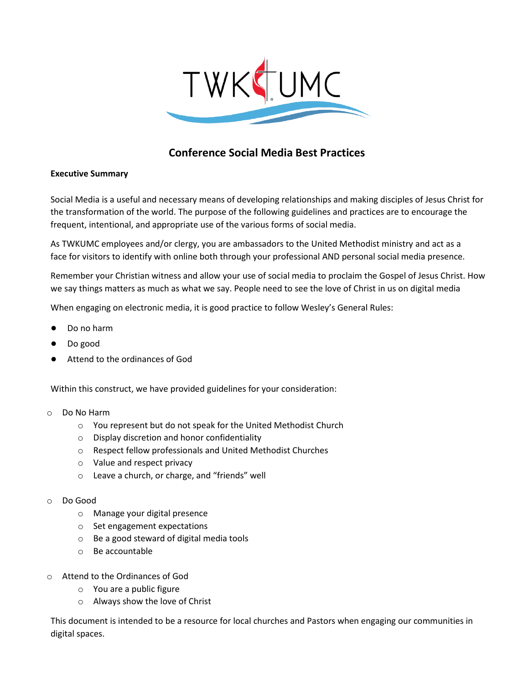

# **Conference Social Media Best Practices**

## **Executive Summary**

Social Media is a useful and necessary means of developing relationships and making disciples of Jesus Christ for the transformation of the world. The purpose of the following guidelines and practices are to encourage the frequent, intentional, and appropriate use of the various forms of social media.

As TWKUMC employees and/or clergy, you are ambassadors to the United Methodist ministry and act as a face for visitors to identify with online both through your professional AND personal social media presence.

Remember your Christian witness and allow your use of social media to proclaim the Gospel of Jesus Christ. How we say things matters as much as what we say. People need to see the love of Christ in us on digital media

When engaging on electronic media, it is good practice to follow Wesley's General Rules:

- Do no harm
- Do good
- Attend to the ordinances of God

Within this construct, we have provided guidelines for your consideration:

- o Do No Harm
	- o You represent but do not speak for the United Methodist Church
	- o Display discretion and honor confidentiality
	- o Respect fellow professionals and United Methodist Churches
	- o Value and respect privacy
	- o Leave a church, or charge, and "friends" well
- o Do Good
	- o Manage your digital presence
	- o Set engagement expectations
	- o Be a good steward of digital media tools
	- o Be accountable
- o Attend to the Ordinances of God
	- o You are a public figure
	- o Always show the love of Christ

This document is intended to be a resource for local churches and Pastors when engaging our communities in digital spaces.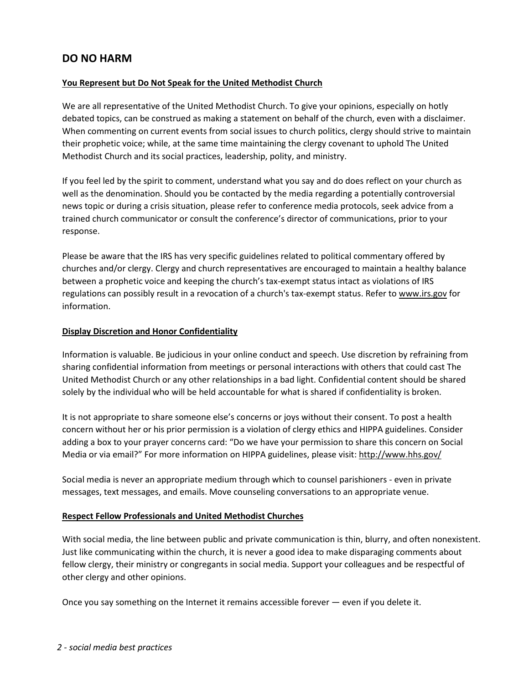## **DO NO HARM**

## **You Represent but Do Not Speak for the United Methodist Church**

We are all representative of the United Methodist Church. To give your opinions, especially on hotly debated topics, can be construed as making a statement on behalf of the church, even with a disclaimer. When commenting on current events from social issues to church politics, clergy should strive to maintain their prophetic voice; while, at the same time maintaining the clergy covenant to uphold The United Methodist Church and its social practices, leadership, polity, and ministry.

If you feel led by the spirit to comment, understand what you say and do does reflect on your church as well as the denomination. Should you be contacted by the media regarding a potentially controversial news topic or during a crisis situation, please refer to conference media protocols, seek advice from a trained church communicator or consult the conference's director of communications, prior to your response.

Please be aware that the IRS has very specific guidelines related to political commentary offered by churches and/or clergy. Clergy and church representatives are encouraged to maintain a healthy balance between a prophetic voice and keeping the church's tax-exempt status intact as violations of IRS regulations can possibly result in a revocation of a church's tax-exempt status. Refer t[o www.irs.gov](http://www.irs.gov/) for information.

#### **Display Discretion and Honor Confidentiality**

Information is valuable. Be judicious in your online conduct and speech. Use discretion by refraining from sharing confidential information from meetings or personal interactions with others that could cast The United Methodist Church or any other relationships in a bad light. Confidential content should be shared solely by the individual who will be held accountable for what is shared if confidentiality is broken.

It is not appropriate to share someone else's concerns or joys without their consent. To post a health concern without her or his prior permission is a violation of clergy ethics and HIPPA guidelines. Consider adding a box to your prayer concerns card: "Do we have your permission to share this concern on Social Media or via email?" For more information on HIPPA guidelines, please visit[: http://www.hhs.gov/](http://www.hhs.gov/)

Social media is never an appropriate medium through which to counsel parishioners - even in private messages, text messages, and emails. Move counseling conversations to an appropriate venue.

#### **Respect Fellow Professionals and United Methodist Churches**

With social media, the line between public and private communication is thin, blurry, and often nonexistent. Just like communicating within the church, it is never a good idea to make disparaging comments about fellow clergy, their ministry or congregants in social media. Support your colleagues and be respectful of other clergy and other opinions.

Once you say something on the Internet it remains accessible forever — even if you delete it.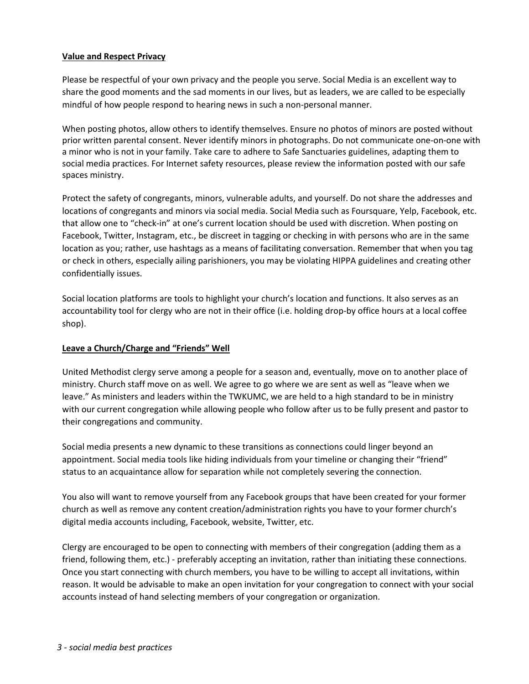#### **Value and Respect Privacy**

Please be respectful of your own privacy and the people you serve. Social Media is an excellent way to share the good moments and the sad moments in our lives, but as leaders, we are called to be especially mindful of how people respond to hearing news in such a non-personal manner.

When posting photos, allow others to identify themselves. Ensure no photos of minors are posted without prior written parental consent. Never identify minors in photographs. Do not communicate one-on-one with a minor who is not in your family. Take care to adhere to Safe Sanctuaries guidelines, adapting them to social media practices. For Internet safety resources, please review the information posted with our safe spaces ministry.

Protect the safety of congregants, minors, vulnerable adults, and yourself. Do not share the addresses and locations of congregants and minors via social media. Social Media such as Foursquare, Yelp, Facebook, etc. that allow one to "check-in" at one's current location should be used with discretion. When posting on Facebook, Twitter, Instagram, etc., be discreet in tagging or checking in with persons who are in the same location as you; rather, use hashtags as a means of facilitating conversation. Remember that when you tag or check in others, especially ailing parishioners, you may be violating HIPPA guidelines and creating other confidentially issues.

Social location platforms are tools to highlight your church's location and functions. It also serves as an accountability tool for clergy who are not in their office (i.e. holding drop-by office hours at a local coffee shop).

#### **Leave a Church/Charge and "Friends" Well**

United Methodist clergy serve among a people for a season and, eventually, move on to another place of ministry. Church staff move on as well. We agree to go where we are sent as well as "leave when we leave." As ministers and leaders within the TWKUMC, we are held to a high standard to be in ministry with our current congregation while allowing people who follow after us to be fully present and pastor to their congregations and community.

Social media presents a new dynamic to these transitions as connections could linger beyond an appointment. Social media tools like hiding individuals from your timeline or changing their "friend" status to an acquaintance allow for separation while not completely severing the connection.

You also will want to remove yourself from any Facebook groups that have been created for your former church as well as remove any content creation/administration rights you have to your former church's digital media accounts including, Facebook, website, Twitter, etc.

Clergy are encouraged to be open to connecting with members of their congregation (adding them as a friend, following them, etc.) - preferably accepting an invitation, rather than initiating these connections. Once you start connecting with church members, you have to be willing to accept all invitations, within reason. It would be advisable to make an open invitation for your congregation to connect with your social accounts instead of hand selecting members of your congregation or organization.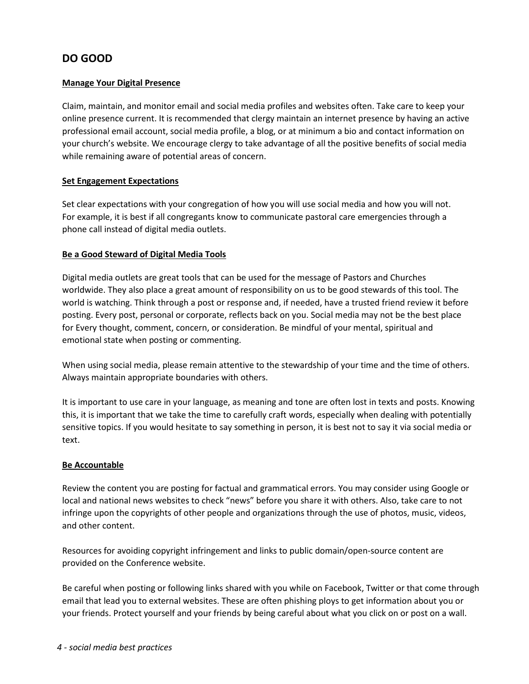# **DO GOOD**

## **Manage Your Digital Presence**

Claim, maintain, and monitor email and social media profiles and websites often. Take care to keep your online presence current. It is recommended that clergy maintain an internet presence by having an active professional email account, social media profile, a blog, or at minimum a bio and contact information on your church's website. We encourage clergy to take advantage of all the positive benefits of social media while remaining aware of potential areas of concern.

### **Set Engagement Expectations**

Set clear expectations with your congregation of how you will use social media and how you will not. For example, it is best if all congregants know to communicate pastoral care emergencies through a phone call instead of digital media outlets.

### **Be a Good Steward of Digital Media Tools**

Digital media outlets are great tools that can be used for the message of Pastors and Churches worldwide. They also place a great amount of responsibility on us to be good stewards of this tool. The world is watching. Think through a post or response and, if needed, have a trusted friend review it before posting. Every post, personal or corporate, reflects back on you. Social media may not be the best place for Every thought, comment, concern, or consideration. Be mindful of your mental, spiritual and emotional state when posting or commenting.

When using social media, please remain attentive to the stewardship of your time and the time of others. Always maintain appropriate boundaries with others.

It is important to use care in your language, as meaning and tone are often lost in texts and posts. Knowing this, it is important that we take the time to carefully craft words, especially when dealing with potentially sensitive topics. If you would hesitate to say something in person, it is best not to say it via social media or text.

#### **Be Accountable**

Review the content you are posting for factual and grammatical errors. You may consider using Google or local and national news websites to check "news" before you share it with others. Also, take care to not infringe upon the copyrights of other people and organizations through the use of photos, music, videos, and other content.

Resources for avoiding copyright infringement and links to public domain/open-source content are provided on the Conference website.

Be careful when posting or following links shared with you while on Facebook, Twitter or that come through email that lead you to external websites. These are often phishing ploys to get information about you or your friends. Protect yourself and your friends by being careful about what you click on or post on a wall.